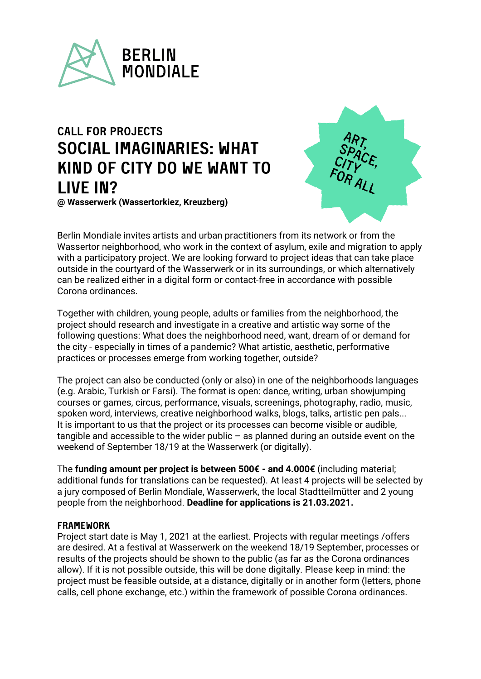

# **CALL FOR PROJECTS** SOCIAL IMAGINARIFS: WHAT KIND OF CITY DO WE WANT TO LIVE IN? **@ Wasserwerk (Wassertorkiez, Kreuzberg)**



Berlin Mondiale invites artists and urban practitioners from its network or from the Wassertor neighborhood, who work in the context of asylum, exile and migration to apply with a participatory project. We are looking forward to project ideas that can take place outside in the courtyard of the Wasserwerk or in its surroundings, or which alternatively can be realized either in a digital form or contact-free in accordance with possible Corona ordinances.

Together with children, young people, adults or families from the neighborhood, the project should research and investigate in a creative and artistic way some of the following questions: What does the neighborhood need, want, dream of or demand for the city - especially in times of a pandemic? What artistic, aesthetic, performative practices or processes emerge from working together, outside?

The project can also be conducted (only or also) in one of the neighborhoods languages (e.g. Arabic, Turkish or Farsi). The format is open: dance, writing, urban showjumping courses or games, circus, performance, visuals, screenings, photography, radio, music, spoken word, interviews, creative neighborhood walks, blogs, talks, artistic pen pals... It is important to us that the project or its processes can become visible or audible, tangible and accessible to the wider public – as planned during an outside event on the weekend of September 18/19 at the Wasserwerk (or digitally).

The **funding amount per project is between 500€ - and 4.000€** (including material; additional funds for translations can be requested). At least 4 projects will be selected by a jury composed of Berlin Mondiale, Wasserwerk, the local Stadtteilmütter and 2 young people from the neighborhood. **Deadline for applications is 21.03.2021.**

### **FRAMEWORK**

Project start date is May 1, 2021 at the earliest. Projects with regular meetings /offers are desired. At a festival at Wasserwerk on the weekend 18/19 September, processes or results of the projects should be shown to the public (as far as the Corona ordinances allow). If it is not possible outside, this will be done digitally. Please keep in mind: the project must be feasible outside, at a distance, digitally or in another form (letters, phone calls, cell phone exchange, etc.) within the framework of possible Corona ordinances.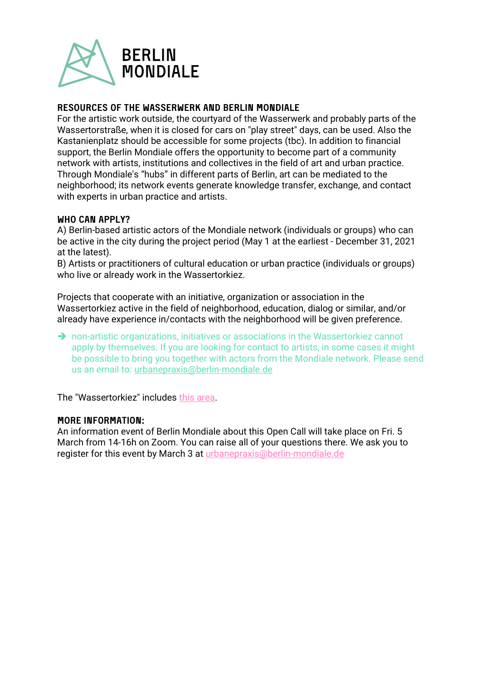

### **RESOURCES OF THE WASSERWERK AND BERLIN MONDIALE**

For the artistic work outside, the courtyard of the Wasserwerk and probably parts of the Wassertorstraße, when it is closed for cars on "play street" days, can be used. Also the Kastanienplatz should be accessible for some projects (tbc). In addition to financial support, the Berlin Mondiale offers the opportunity to become part of a community network with artists, institutions and collectives in the field of art and urban practice. Through Mondiale's "hubs" in different parts of Berlin, art can be mediated to the neighborhood; its network events generate knowledge transfer, exchange, and contact with experts in urban practice and artists.

### WHO CAN APPLY?

A) Berlin-based artistic actors of the Mondiale network (individuals or groups) who can be active in the city during the project period (May 1 at the earliest - December 31, 2021 at the latest).

B) Artists or practitioners of cultural education or urban practice (individuals or groups) who live or already work in the Wassertorkiez.

Projects that cooperate with an initiative, organization or association in the Wassertorkiez active in the field of neighborhood, education, dialog or similar, and/or already have experience in/contacts with the neighborhood will be given preference.

→ non-artistic organizations, initiatives or associations in the Wassertorkiez cannot apply by themselves. If you are looking for contact to artists, in some cases it might be possible to bring you together with actors from the Mondiale network. Please send us an email to: [urbanepraxis@berlin-mondiale.de](mailto:urbanepraxis@berlin-mondiale.de)

The "Wassertorkiez" includes this [area.](http://quartiersmanagement-wassertorplatz.de/02%20Aktuelles/05%20Kiezgeschehen/20200812%20Kiezkarte/Kiezkarte_final_Juli20.pdf?download)

#### **MORE INFORMATION:**

An information event of Berlin Mondiale about this Open Call will take place on Fri. 5 March from 14-16h on Zoom. You can raise all of your questions there. We ask you to register for this event by March 3 at *urbanepraxis@berlin-mondiale.de*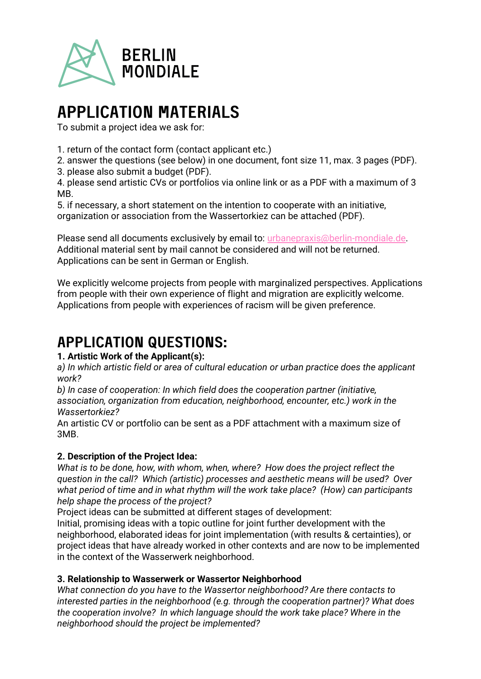

# **APPLICATION MATERIALS**

To submit a project idea we ask for:

1. return of the contact form (contact applicant etc.)

2. answer the questions (see below) in one document, font size 11, max. 3 pages (PDF).

3. please also submit a budget (PDF).

4. please send artistic CVs or portfolios via online link or as a PDF with a maximum of 3 MB.

5. if necessary, a short statement on the intention to cooperate with an initiative, organization or association from the Wassertorkiez can be attached (PDF).

Please send all documents exclusively by email to: [urbanepraxis@berlin-mondiale.de.](mailto:urbanepraxis@berlin-mondiale.de) Additional material sent by mail cannot be considered and will not be returned. Applications can be sent in German or English.

We explicitly welcome projects from people with marginalized perspectives. Applications from people with their own experience of flight and migration are explicitly welcome. Applications from people with experiences of racism will be given preference.

# **APPLICATION QUESTIONS:**

## **1. Artistic Work of the Applicant(s):**

*a) In which artistic field or area of cultural education or urban practice does the applicant work?* 

*b) In case of cooperation: In which field does the cooperation partner (initiative, association, organization from education, neighborhood, encounter, etc.) work in the Wassertorkiez?*

An artistic CV or portfolio can be sent as a PDF attachment with a maximum size of 3MB.

## **2. Description of the Project Idea:**

*What is to be done, how, with whom, when, where? How does the project reflect the question in the call? Which (artistic) processes and aesthetic means will be used? Over what period of time and in what rhythm will the work take place? (How) can participants help shape the process of the project?*

Project ideas can be submitted at different stages of development:

Initial, promising ideas with a topic outline for joint further development with the neighborhood, elaborated ideas for joint implementation (with results & certainties), or project ideas that have already worked in other contexts and are now to be implemented in the context of the Wasserwerk neighborhood.

## **3. Relationship to Wasserwerk or Wassertor Neighborhood**

*What connection do you have to the Wassertor neighborhood? Are there contacts to interested parties in the neighborhood (e.g. through the cooperation partner)? What does the cooperation involve? In which language should the work take place? Where in the neighborhood should the project be implemented?*